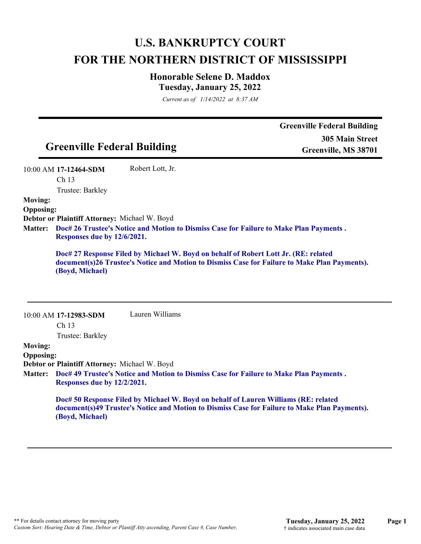# **U.S. BANKRUPTCY COURT FOR THE NORTHERN DISTRICT OF MISSISSIPPI**

## **Honorable Selene D. Maddox Tuesday, January 25, 2022**

*Current as of 1/14/2022 at 8:37 AM*

|                  |                                               |                                                                                        | <b>Greenville Federal Building</b>                                                            |
|------------------|-----------------------------------------------|----------------------------------------------------------------------------------------|-----------------------------------------------------------------------------------------------|
|                  |                                               |                                                                                        | <b>305 Main Street</b>                                                                        |
|                  | <b>Greenville Federal Building</b>            |                                                                                        | Greenville, MS 38701                                                                          |
|                  | 10:00 AM 17-12464-SDM                         | Robert Lott, Jr.                                                                       |                                                                                               |
|                  | Ch <sub>13</sub>                              |                                                                                        |                                                                                               |
|                  | Trustee: Barkley                              |                                                                                        |                                                                                               |
| <b>Moving:</b>   |                                               |                                                                                        |                                                                                               |
| <b>Opposing:</b> |                                               |                                                                                        |                                                                                               |
|                  | Debtor or Plaintiff Attorney: Michael W. Boyd |                                                                                        |                                                                                               |
| <b>Matter:</b>   |                                               | Doc# 26 Trustee's Notice and Motion to Dismiss Case for Failure to Make Plan Payments. |                                                                                               |
|                  | Responses due by 12/6/2021.                   |                                                                                        |                                                                                               |
|                  | (Boyd, Michael)                               | Doc# 27 Response Filed by Michael W. Boyd on behalf of Robert Lott Jr. (RE: related    | document(s)26 Trustee's Notice and Motion to Dismiss Case for Failure to Make Plan Payments). |
|                  |                                               |                                                                                        |                                                                                               |
|                  | 10:00 AM 17-12983-SDM                         | Lauren Williams                                                                        |                                                                                               |
|                  | Ch <sub>13</sub>                              |                                                                                        |                                                                                               |
|                  | Trustee: Barkley                              |                                                                                        |                                                                                               |
| <b>Moving:</b>   |                                               |                                                                                        |                                                                                               |
| <b>Opposing:</b> |                                               |                                                                                        |                                                                                               |
|                  | Debtor or Plaintiff Attorney: Michael W. Boyd |                                                                                        |                                                                                               |
| <b>Matter:</b>   | Responses due by 12/2/2021.                   | Doc# 49 Trustee's Notice and Motion to Dismiss Case for Failure to Make Plan Payments. |                                                                                               |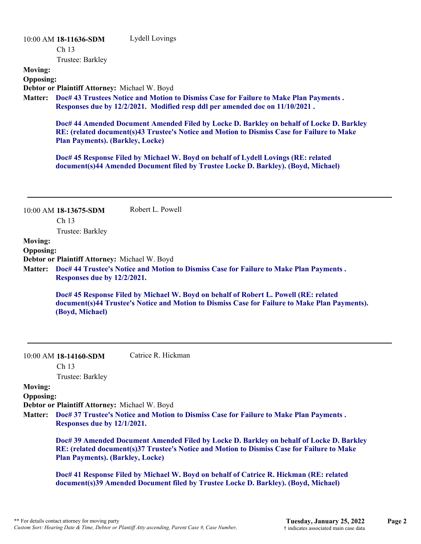# 10:00 AM **18-11636-SDM**  Ch 13 Trustee: Barkley Lydell Lovings **Moving: Opposing: Debtor or Plaintiff Attorney:** Michael W. Boyd **Doc# 43 Trustees Notice and Motion to Dismiss Case for Failure to Make Plan Payments . Matter: Responses due by 12/2/2021. Modified resp ddl per amended doc on 11/10/2021 . Doc# 44 Amended Document Amended Filed by Locke D. Barkley on behalf of Locke D. Barkley RE: (related document(s)43 Trustee's Notice and Motion to Dismiss Case for Failure to Make Plan Payments). (Barkley, Locke) Doc# 45 Response Filed by Michael W. Boyd on behalf of Lydell Lovings (RE: related document(s)44 Amended Document filed by Trustee Locke D. Barkley). (Boyd, Michael)** 10:00 AM **18-13675-SDM**  Ch 13 Trustee: Barkley Robert L. Powell **Moving: Opposing: Debtor or Plaintiff Attorney:** Michael W. Boyd **Doc# 44 Trustee's Notice and Motion to Dismiss Case for Failure to Make Plan Payments . Matter: Responses due by 12/2/2021. Doc# 45 Response Filed by Michael W. Boyd on behalf of Robert L. Powell (RE: related document(s)44 Trustee's Notice and Motion to Dismiss Case for Failure to Make Plan Payments). (Boyd, Michael)** 10:00 AM **18-14160-SDM**  Ch 13 Trustee: Barkley Catrice R. Hickman **Moving: Opposing: Debtor or Plaintiff Attorney:** Michael W. Boyd **Doc# 37 Trustee's Notice and Motion to Dismiss Case for Failure to Make Plan Payments . Matter: Responses due by 12/1/2021.**

**Doc# 39 Amended Document Amended Filed by Locke D. Barkley on behalf of Locke D. Barkley RE: (related document(s)37 Trustee's Notice and Motion to Dismiss Case for Failure to Make Plan Payments). (Barkley, Locke)** 

**Doc# 41 Response Filed by Michael W. Boyd on behalf of Catrice R. Hickman (RE: related document(s)39 Amended Document filed by Trustee Locke D. Barkley). (Boyd, Michael)**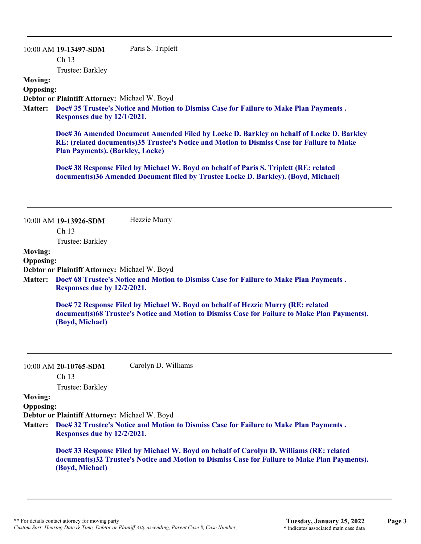10:00 AM **19-13497-SDM**  Ch 13 Trustee: Barkley Paris S. Triplett **Moving: Opposing: Debtor or Plaintiff Attorney:** Michael W. Boyd **Doc# 35 Trustee's Notice and Motion to Dismiss Case for Failure to Make Plan Payments . Matter: Responses due by 12/1/2021. Doc# 36 Amended Document Amended Filed by Locke D. Barkley on behalf of Locke D. Barkley RE: (related document(s)35 Trustee's Notice and Motion to Dismiss Case for Failure to Make Plan Payments). (Barkley, Locke) Doc# 38 Response Filed by Michael W. Boyd on behalf of Paris S. Triplett (RE: related document(s)36 Amended Document filed by Trustee Locke D. Barkley). (Boyd, Michael)** 10:00 AM **19-13926-SDM**  Ch 13 Trustee: Barkley Hezzie Murry **Moving: Opposing: Debtor or Plaintiff Attorney:** Michael W. Boyd **Doc# 68 Trustee's Notice and Motion to Dismiss Case for Failure to Make Plan Payments . Matter: Responses due by 12/2/2021. Doc# 72 Response Filed by Michael W. Boyd on behalf of Hezzie Murry (RE: related document(s)68 Trustee's Notice and Motion to Dismiss Case for Failure to Make Plan Payments). (Boyd, Michael)** 10:00 AM **20-10765-SDM**  Ch 13 Trustee: Barkley Carolyn D. Williams **Moving: Opposing: Debtor or Plaintiff Attorney:** Michael W. Boyd **Doc# 32 Trustee's Notice and Motion to Dismiss Case for Failure to Make Plan Payments . Matter: Responses due by 12/2/2021. Doc# 33 Response Filed by Michael W. Boyd on behalf of Carolyn D. Williams (RE: related document(s)32 Trustee's Notice and Motion to Dismiss Case for Failure to Make Plan Payments). (Boyd, Michael)**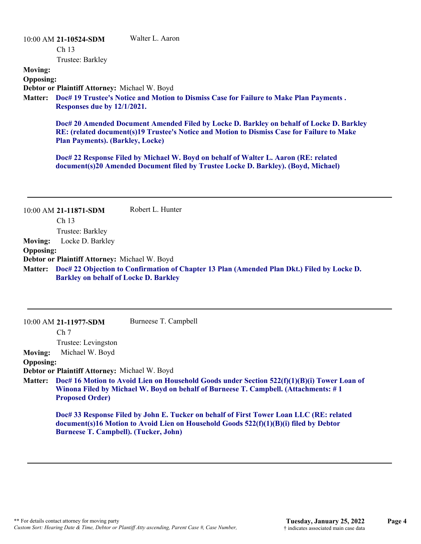#### 10:00 AM **21-10524-SDM**  Walter L. Aaron

Ch 13

Trustee: Barkley

# **Moving:**

**Opposing:**

**Debtor or Plaintiff Attorney:** Michael W. Boyd

**Doc# 19 Trustee's Notice and Motion to Dismiss Case for Failure to Make Plan Payments . Matter: Responses due by 12/1/2021.**

**Doc# 20 Amended Document Amended Filed by Locke D. Barkley on behalf of Locke D. Barkley RE: (related document(s)19 Trustee's Notice and Motion to Dismiss Case for Failure to Make Plan Payments). (Barkley, Locke)**

**Doc# 22 Response Filed by Michael W. Boyd on behalf of Walter L. Aaron (RE: related document(s)20 Amended Document filed by Trustee Locke D. Barkley). (Boyd, Michael)**

| <b>Moving:</b><br><b>Opposing:</b> | 10:00 AM 21-11871-SDM<br>Ch 13<br>Trustee: Barkley<br>Locke D. Barkley | Robert L. Hunter                                                                                                                                                                   |
|------------------------------------|------------------------------------------------------------------------|------------------------------------------------------------------------------------------------------------------------------------------------------------------------------------|
|                                    | Debtor or Plaintiff Attorney: Michael W. Boyd                          |                                                                                                                                                                                    |
| <b>Matter:</b>                     | <b>Barkley on behalf of Locke D. Barkley</b>                           | Doc# 22 Objection to Confirmation of Chapter 13 Plan (Amended Plan Dkt.) Filed by Locke D.                                                                                         |
|                                    |                                                                        |                                                                                                                                                                                    |
|                                    | 10:00 AM 21-11977-SDM                                                  | Burneese T. Campbell                                                                                                                                                               |
|                                    | Ch <sub>7</sub>                                                        |                                                                                                                                                                                    |
|                                    | Trustee: Levingston                                                    |                                                                                                                                                                                    |
| <b>Moving:</b>                     | Michael W. Boyd                                                        |                                                                                                                                                                                    |
| <b>Opposing:</b>                   |                                                                        |                                                                                                                                                                                    |
|                                    | Debtor or Plaintiff Attorney: Michael W. Boyd                          |                                                                                                                                                                                    |
| <b>Matter:</b>                     | <b>Proposed Order)</b>                                                 | Doc# 16 Motion to Avoid Lien on Household Goods under Section 522(f)(1)(B)(i) Tower Loan of<br>Winona Filed by Michael W. Boyd on behalf of Burneese T. Campbell. (Attachments: #1 |
|                                    | <b>Burneese T. Campbell). (Tucker, John)</b>                           | Doc# 33 Response Filed by John E. Tucker on behalf of First Tower Loan LLC (RE: related<br>document(s)16 Motion to Avoid Lien on Household Goods 522(f)(1)(B)(i) filed by Debtor   |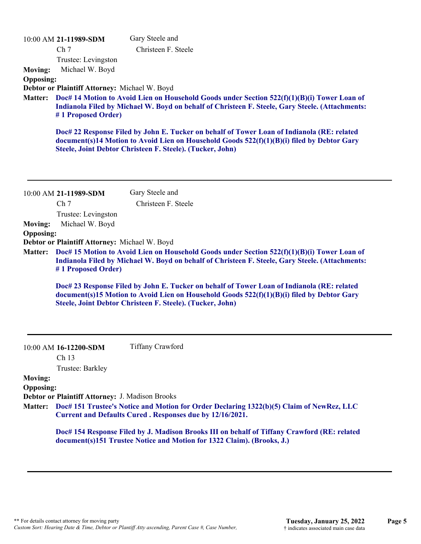|                  | 10:00 AM 21-11989-SDM                              | Gary Steele and                                                                                                                                                                                                                                       |
|------------------|----------------------------------------------------|-------------------------------------------------------------------------------------------------------------------------------------------------------------------------------------------------------------------------------------------------------|
|                  | Ch <sub>7</sub>                                    | Christeen F. Steele                                                                                                                                                                                                                                   |
|                  | Trustee: Levingston                                |                                                                                                                                                                                                                                                       |
| <b>Moving:</b>   | Michael W. Boyd                                    |                                                                                                                                                                                                                                                       |
| <b>Opposing:</b> |                                                    |                                                                                                                                                                                                                                                       |
|                  | Debtor or Plaintiff Attorney: Michael W. Boyd      |                                                                                                                                                                                                                                                       |
| <b>Matter:</b>   | #1 Proposed Order)                                 | Doc# 14 Motion to Avoid Lien on Household Goods under Section 522(f)(1)(B)(i) Tower Loan of<br>Indianola Filed by Michael W. Boyd on behalf of Christeen F. Steele, Gary Steele. (Attachments:                                                        |
|                  |                                                    | Doc# 22 Response Filed by John E. Tucker on behalf of Tower Loan of Indianola (RE: related<br>document(s)14 Motion to Avoid Lien on Household Goods 522(f)(1)(B)(i) filed by Debtor Gary<br>Steele, Joint Debtor Christeen F. Steele). (Tucker, John) |
|                  | 10:00 AM 21-11989-SDM                              | Gary Steele and                                                                                                                                                                                                                                       |
|                  | Ch <sub>7</sub>                                    | Christeen F. Steele                                                                                                                                                                                                                                   |
|                  | Trustee: Levingston                                |                                                                                                                                                                                                                                                       |
| <b>Moving:</b>   | Michael W. Boyd                                    |                                                                                                                                                                                                                                                       |
| <b>Opposing:</b> |                                                    |                                                                                                                                                                                                                                                       |
|                  | Debtor or Plaintiff Attorney: Michael W. Boyd      |                                                                                                                                                                                                                                                       |
| <b>Matter:</b>   | #1 Proposed Order)                                 | Doc# 15 Motion to Avoid Lien on Household Goods under Section 522(f)(1)(B)(i) Tower Loan of<br>Indianola Filed by Michael W. Boyd on behalf of Christeen F. Steele, Gary Steele. (Attachments:                                                        |
|                  |                                                    | Doc# 23 Response Filed by John E. Tucker on behalf of Tower Loan of Indianola (RE: related<br>document(s)15 Motion to Avoid Lien on Household Goods 522(f)(1)(B)(i) filed by Debtor Gary<br>Steele, Joint Debtor Christeen F. Steele). (Tucker, John) |
|                  | 10:00 AM 16-12200-SDM<br>Ch 13<br>Trustee: Barkley | <b>Tiffany Crawford</b>                                                                                                                                                                                                                               |
| <b>Moving:</b>   |                                                    |                                                                                                                                                                                                                                                       |
| <b>Opposing:</b> |                                                    |                                                                                                                                                                                                                                                       |
|                  | Debtor or Plaintiff Attorney: J. Madison Brooks    |                                                                                                                                                                                                                                                       |
| <b>Matter:</b>   |                                                    | Doc# 151 Trustee's Notice and Motion for Order Declaring 1322(b)(5) Claim of NewRez, LLC<br>Current and Defaults Cured. Responses due by 12/16/2021.                                                                                                  |
|                  |                                                    | Doc# 154 Response Filed by J. Madison Brooks III on behalf of Tiffany Crawford (RE: related<br>document(s)151 Trustee Notice and Motion for 1322 Claim). (Brooks, J.)                                                                                 |
|                  |                                                    |                                                                                                                                                                                                                                                       |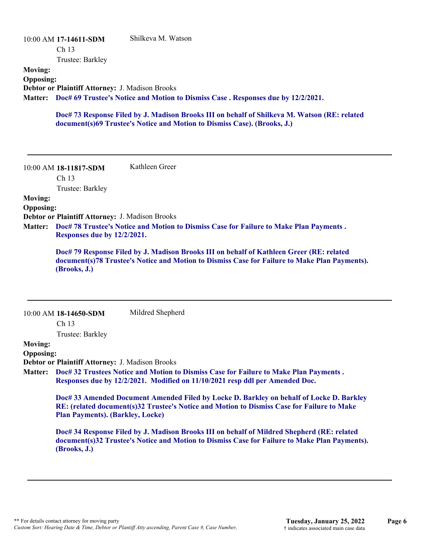### 10:00 AM **17-14611-SDM**  Ch 13 Trustee: Barkley Shilkeva M. Watson **Moving: Opposing: Debtor or Plaintiff Attorney:** J. Madison Brooks **Doc# 69 Trustee's Notice and Motion to Dismiss Case . Responses due by 12/2/2021. Matter:**

**Doc# 73 Response Filed by J. Madison Brooks III on behalf of Shilkeva M. Watson (RE: related document(s)69 Trustee's Notice and Motion to Dismiss Case). (Brooks, J.)**

10:00 AM **18-11817-SDM**  Ch 13 Trustee: Barkley Kathleen Greer **Moving: Opposing: Debtor or Plaintiff Attorney:** J. Madison Brooks **Doc# 78 Trustee's Notice and Motion to Dismiss Case for Failure to Make Plan Payments . Matter: Responses due by 12/2/2021. Doc# 79 Response Filed by J. Madison Brooks III on behalf of Kathleen Greer (RE: related document(s)78 Trustee's Notice and Motion to Dismiss Case for Failure to Make Plan Payments). (Brooks, J.)** 10:00 AM **18-14650-SDM**  Ch 13 Trustee: Barkley Mildred Shepherd **Moving: Opposing: Debtor or Plaintiff Attorney:** J. Madison Brooks **Doc# 32 Trustees Notice and Motion to Dismiss Case for Failure to Make Plan Payments . Matter: Responses due by 12/2/2021. Modified on 11/10/2021 resp ddl per Amended Doc. Doc# 33 Amended Document Amended Filed by Locke D. Barkley on behalf of Locke D. Barkley RE: (related document(s)32 Trustee's Notice and Motion to Dismiss Case for Failure to Make Plan Payments). (Barkley, Locke) Doc# 34 Response Filed by J. Madison Brooks III on behalf of Mildred Shepherd (RE: related document(s)32 Trustee's Notice and Motion to Dismiss Case for Failure to Make Plan Payments). (Brooks, J.)**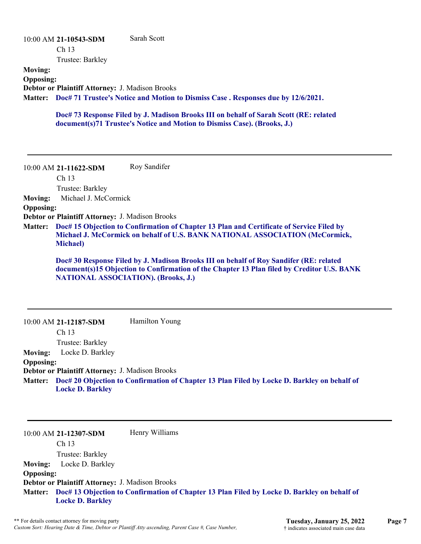#### 10:00 AM **21-10543-SDM**  Ch 13 Trustee: Barkley Sarah Scott **Moving: Opposing: Debtor or Plaintiff Attorney:** J. Madison Brooks **Doc# 71 Trustee's Notice and Motion to Dismiss Case . Responses due by 12/6/2021. Matter:**

**Doc# 73 Response Filed by J. Madison Brooks III on behalf of Sarah Scott (RE: related document(s)71 Trustee's Notice and Motion to Dismiss Case). (Brooks, J.)**

10:00 AM **21-11622-SDM**  Roy Sandifer

Ch 13

Trustee: Barkley

**Moving:** Michael J. McCormick

#### **Opposing:**

**Debtor or Plaintiff Attorney:** J. Madison Brooks

**Doc# 15 Objection to Confirmation of Chapter 13 Plan and Certificate of Service Filed by Matter: Michael J. McCormick on behalf of U.S. BANK NATIONAL ASSOCIATION (McCormick, Michael)**

**Doc# 30 Response Filed by J. Madison Brooks III on behalf of Roy Sandifer (RE: related document(s)15 Objection to Confirmation of the Chapter 13 Plan filed by Creditor U.S. BANK NATIONAL ASSOCIATION). (Brooks, J.)**

|                  | $10:00$ AM 21-12187-SDM                                | Hamilton Young                                                                              |
|------------------|--------------------------------------------------------|---------------------------------------------------------------------------------------------|
|                  | Ch <sub>13</sub>                                       |                                                                                             |
|                  | Trustee: Barkley                                       |                                                                                             |
| <b>Moving:</b>   | Locke D. Barkley                                       |                                                                                             |
| <b>Opposing:</b> |                                                        |                                                                                             |
|                  | <b>Debtor or Plaintiff Attorney: J. Madison Brooks</b> |                                                                                             |
| <b>Matter:</b>   | <b>Locke D. Barkley</b>                                | Doc# 20 Objection to Confirmation of Chapter 13 Plan Filed by Locke D. Barkley on behalf of |

10:00 AM **21-12307-SDM**  Ch 13 Trustee: Barkley Henry Williams **Moving:** Locke D. Barkley **Opposing: Debtor or Plaintiff Attorney:** J. Madison Brooks **Doc# 13 Objection to Confirmation of Chapter 13 Plan Filed by Locke D. Barkley on behalf of Matter: Locke D. Barkley**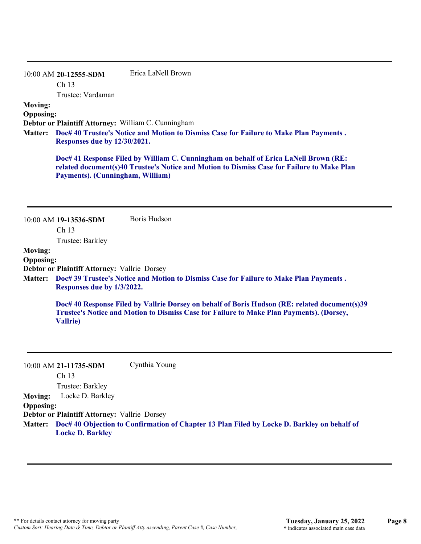10:00 AM **20-12555-SDM**  Ch 13 Trustee: Vardaman Erica LaNell Brown

#### **Moving:**

**Opposing:**

**Debtor or Plaintiff Attorney:** William C. Cunningham

**Doc# 40 Trustee's Notice and Motion to Dismiss Case for Failure to Make Plan Payments . Matter: Responses due by 12/30/2021.**

**Doc# 41 Response Filed by William C. Cunningham on behalf of Erica LaNell Brown (RE: related document(s)40 Trustee's Notice and Motion to Dismiss Case for Failure to Make Plan Payments). (Cunningham, William)**

|                  | 10:00 AM 19-13536-SDM                               | Boris Hudson                                                                                                                                                                              |
|------------------|-----------------------------------------------------|-------------------------------------------------------------------------------------------------------------------------------------------------------------------------------------------|
|                  | Ch <sub>13</sub>                                    |                                                                                                                                                                                           |
|                  | Trustee: Barkley                                    |                                                                                                                                                                                           |
| <b>Moving:</b>   |                                                     |                                                                                                                                                                                           |
| <b>Opposing:</b> |                                                     |                                                                                                                                                                                           |
|                  | <b>Debtor or Plaintiff Attorney: Vallrie Dorsey</b> |                                                                                                                                                                                           |
| <b>Matter:</b>   | Responses due by 1/3/2022.                          | Doc# 39 Trustee's Notice and Motion to Dismiss Case for Failure to Make Plan Payments.                                                                                                    |
|                  | <b>Vallrie</b> )                                    | Doc# 40 Response Filed by Vallrie Dorsey on behalf of Boris Hudson (RE: related document(s)39<br>Trustee's Notice and Motion to Dismiss Case for Failure to Make Plan Payments). (Dorsey, |
|                  |                                                     |                                                                                                                                                                                           |

10:00 AM **21-11735-SDM**  Ch 13 Trustee: Barkley Cynthia Young **Moving:** Locke D. Barkley **Opposing: Debtor or Plaintiff Attorney:** Vallrie Dorsey **Doc# 40 Objection to Confirmation of Chapter 13 Plan Filed by Locke D. Barkley on behalf of Matter: Locke D. Barkley**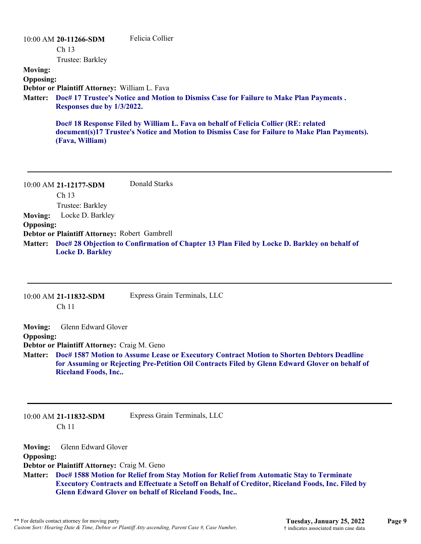| $10:00$ AM 20-11266-SDM                                           |                            | Felicia Collier                                                                                                                                                                      |
|-------------------------------------------------------------------|----------------------------|--------------------------------------------------------------------------------------------------------------------------------------------------------------------------------------|
| Ch <sub>13</sub>                                                  |                            |                                                                                                                                                                                      |
|                                                                   | Trustee: Barkley           |                                                                                                                                                                                      |
| <b>Moving:</b>                                                    |                            |                                                                                                                                                                                      |
| <b>Opposing:</b><br>Debtor or Plaintiff Attorney: William L. Fava |                            |                                                                                                                                                                                      |
| <b>Matter:</b>                                                    | Responses due by 1/3/2022. | Doc# 17 Trustee's Notice and Motion to Dismiss Case for Failure to Make Plan Payments.                                                                                               |
|                                                                   | (Fava, William)            | Doc# 18 Response Filed by William L. Fava on behalf of Felicia Collier (RE: related<br>document(s)17 Trustee's Notice and Motion to Dismiss Case for Failure to Make Plan Payments). |
| 10:00 AM 21-12177-SDM                                             |                            | Donald Starks                                                                                                                                                                        |
| Ch <sub>13</sub>                                                  |                            |                                                                                                                                                                                      |
|                                                                   | Trustee: Barkley           |                                                                                                                                                                                      |

**Moving:** Locke D. Barkley **Opposing: Debtor or Plaintiff Attorney:** Robert Gambrell **Doc# 28 Objection to Confirmation of Chapter 13 Plan Filed by Locke D. Barkley on behalf of Matter: Locke D. Barkley**

|                                                      | 10:00 AM 21-11832-SDM<br>Ch <sub>11</sub>                                                        | Express Grain Terminals, LLC                                                                                                                                                                                                                                       |
|------------------------------------------------------|--------------------------------------------------------------------------------------------------|--------------------------------------------------------------------------------------------------------------------------------------------------------------------------------------------------------------------------------------------------------------------|
| <b>Moving:</b><br><b>Opposing:</b><br><b>Matter:</b> | Glenn Edward Glover<br>Debtor or Plaintiff Attorney: Craig M. Geno<br><b>Riceland Foods, Inc</b> | Doc# 1587 Motion to Assume Lease or Executory Contract Motion to Shorten Debtors Deadline<br>for Assuming or Rejecting Pre-Petition Oil Contracts Filed by Glenn Edward Glover on behalf of                                                                        |
|                                                      | 10:00 AM 21-11832-SDM<br>Ch <sub>11</sub>                                                        | Express Grain Terminals, LLC                                                                                                                                                                                                                                       |
| <b>Moving:</b><br><b>Opposing:</b><br><b>Matter:</b> | Glenn Edward Glover<br>Debtor or Plaintiff Attorney: Craig M. Geno                               | Doc# 1588 Motion for Relief from Stay Motion for Relief from Automatic Stay to Terminate<br><b>Executory Contracts and Effectuate a Setoff on Behalf of Creditor, Riceland Foods, Inc. Filed by</b><br><b>Glenn Edward Glover on behalf of Riceland Foods, Inc</b> |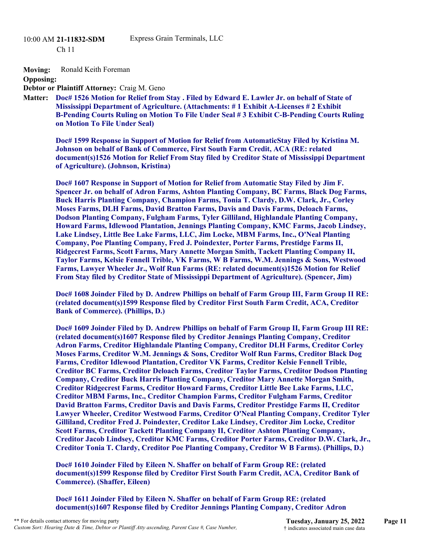10:00 AM **21-11832-SDM** 

Ch 11

**Moving:** Ronald Keith Foreman

**Opposing:**

**Debtor or Plaintiff Attorney:** Craig M. Geno

**Doc# 1526 Motion for Relief from Stay . Filed by Edward E. Lawler Jr. on behalf of State of Matter: Mississippi Department of Agriculture. (Attachments: # 1 Exhibit A-Licenses # 2 Exhibit B-Pending Courts Ruling on Motion To File Under Seal # 3 Exhibit C-B-Pending Courts Ruling on Motion To File Under Seal)**

**Doc# 1599 Response in Support of Motion for Relief from AutomaticStay Filed by Kristina M. Johnson on behalf of Bank of Commerce, First South Farm Credit, ACA (RE: related document(s)1526 Motion for Relief From Stay filed by Creditor State of Mississippi Department of Agriculture). (Johnson, Kristina)**

**Doc# 1607 Response in Support of Motion for Relief from Automatic Stay Filed by Jim F. Spencer Jr. on behalf of Adron Farms, Ashton Planting Company, BC Farms, Black Dog Farms, Buck Harris Planting Company, Champion Farms, Tonia T. Clardy, D.W. Clark, Jr., Corley Moses Farms, DLH Farms, David Bratton Farms, Davis and Davis Farms, Deloach Farms, Dodson Planting Company, Fulgham Farms, Tyler Gilliland, Highlandale Planting Company, Howard Farms, Idlewood Plantation, Jennings Planting Company, KMC Farms, Jacob Lindsey, Lake Lindsey, Little Bee Lake Farms, LLC, Jim Locke, MBM Farms, Inc., O'Neal Planting Company, Poe Planting Company, Fred J. Poindexter, Porter Farms, Prestidge Farms II, Ridgecrest Farms, Scott Farms, Mary Annette Morgan Smith, Tackett Planting Company II, Taylor Farms, Kelsie Fennell Trible, VK Farms, W B Farms, W.M. Jennings & Sons, Westwood Farms, Lawyer Wheeler Jr., Wolf Run Farms (RE: related document(s)1526 Motion for Relief From Stay filed by Creditor State of Mississippi Department of Agriculture). (Spencer, Jim)**

**Doc# 1608 Joinder Filed by D. Andrew Phillips on behalf of Farm Group III, Farm Group II RE: (related document(s)1599 Response filed by Creditor First South Farm Credit, ACA, Creditor Bank of Commerce). (Phillips, D.)**

**Doc# 1609 Joinder Filed by D. Andrew Phillips on behalf of Farm Group II, Farm Group III RE: (related document(s)1607 Response filed by Creditor Jennings Planting Company, Creditor Adron Farms, Creditor Highlandale Planting Company, Creditor DLH Farms, Creditor Corley Moses Farms, Creditor W.M. Jennings & Sons, Creditor Wolf Run Farms, Creditor Black Dog Farms, Creditor Idlewood Plantation, Creditor VK Farms, Creditor Kelsie Fennell Trible, Creditor BC Farms, Creditor Deloach Farms, Creditor Taylor Farms, Creditor Dodson Planting Company, Creditor Buck Harris Planting Company, Creditor Mary Annette Morgan Smith, Creditor Ridgecrest Farms, Creditor Howard Farms, Creditor Little Bee Lake Farms, LLC, Creditor MBM Farms, Inc., Creditor Champion Farms, Creditor Fulgham Farms, Creditor David Bratton Farms, Creditor Davis and Davis Farms, Creditor Prestidge Farms II, Creditor Lawyer Wheeler, Creditor Westwood Farms, Creditor O'Neal Planting Company, Creditor Tyler Gilliland, Creditor Fred J. Poindexter, Creditor Lake Lindsey, Creditor Jim Locke, Creditor Scott Farms, Creditor Tackett Planting Company II, Creditor Ashton Planting Company, Creditor Jacob Lindsey, Creditor KMC Farms, Creditor Porter Farms, Creditor D.W. Clark, Jr., Creditor Tonia T. Clardy, Creditor Poe Planting Company, Creditor W B Farms). (Phillips, D.)**

**Doc# 1610 Joinder Filed by Eileen N. Shaffer on behalf of Farm Group RE: (related document(s)1599 Response filed by Creditor First South Farm Credit, ACA, Creditor Bank of Commerce). (Shaffer, Eileen)**

**Doc# 1611 Joinder Filed by Eileen N. Shaffer on behalf of Farm Group RE: (related document(s)1607 Response filed by Creditor Jennings Planting Company, Creditor Adron**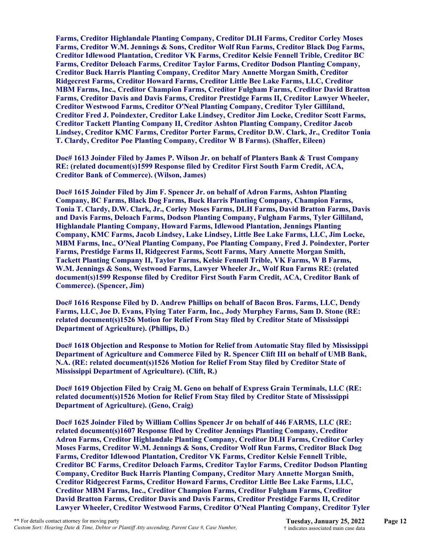**Farms, Creditor Highlandale Planting Company, Creditor DLH Farms, Creditor Corley Moses Farms, Creditor W.M. Jennings & Sons, Creditor Wolf Run Farms, Creditor Black Dog Farms, Creditor Idlewood Plantation, Creditor VK Farms, Creditor Kelsie Fennell Trible, Creditor BC Farms, Creditor Deloach Farms, Creditor Taylor Farms, Creditor Dodson Planting Company, Creditor Buck Harris Planting Company, Creditor Mary Annette Morgan Smith, Creditor Ridgecrest Farms, Creditor Howard Farms, Creditor Little Bee Lake Farms, LLC, Creditor MBM Farms, Inc., Creditor Champion Farms, Creditor Fulgham Farms, Creditor David Bratton Farms, Creditor Davis and Davis Farms, Creditor Prestidge Farms II, Creditor Lawyer Wheeler, Creditor Westwood Farms, Creditor O'Neal Planting Company, Creditor Tyler Gilliland, Creditor Fred J. Poindexter, Creditor Lake Lindsey, Creditor Jim Locke, Creditor Scott Farms, Creditor Tackett Planting Company II, Creditor Ashton Planting Company, Creditor Jacob Lindsey, Creditor KMC Farms, Creditor Porter Farms, Creditor D.W. Clark, Jr., Creditor Tonia T. Clardy, Creditor Poe Planting Company, Creditor W B Farms). (Shaffer, Eileen)**

**Doc# 1613 Joinder Filed by James P. Wilson Jr. on behalf of Planters Bank & Trust Company RE: (related document(s)1599 Response filed by Creditor First South Farm Credit, ACA, Creditor Bank of Commerce). (Wilson, James)** 

**Doc# 1615 Joinder Filed by Jim F. Spencer Jr. on behalf of Adron Farms, Ashton Planting Company, BC Farms, Black Dog Farms, Buck Harris Planting Company, Champion Farms, Tonia T. Clardy, D.W. Clark, Jr., Corley Moses Farms, DLH Farms, David Bratton Farms, Davis and Davis Farms, Deloach Farms, Dodson Planting Company, Fulgham Farms, Tyler Gilliland, Highlandale Planting Company, Howard Farms, Idlewood Plantation, Jennings Planting Company, KMC Farms, Jacob Lindsey, Lake Lindsey, Little Bee Lake Farms, LLC, Jim Locke, MBM Farms, Inc., O'Neal Planting Company, Poe Planting Company, Fred J. Poindexter, Porter Farms, Prestidge Farms II, Ridgecrest Farms, Scott Farms, Mary Annette Morgan Smith, Tackett Planting Company II, Taylor Farms, Kelsie Fennell Trible, VK Farms, W B Farms, W.M. Jennings & Sons, Westwood Farms, Lawyer Wheeler Jr., Wolf Run Farms RE: (related document(s)1599 Response filed by Creditor First South Farm Credit, ACA, Creditor Bank of Commerce). (Spencer, Jim)**

**Doc# 1616 Response Filed by D. Andrew Phillips on behalf of Bacon Bros. Farms, LLC, Dendy Farms, LLC, Joe D. Evans, Flying Tater Farm, Inc., Jody Murphey Farms, Sam D. Stone (RE: related document(s)1526 Motion for Relief From Stay filed by Creditor State of Mississippi Department of Agriculture). (Phillips, D.)**

**Doc# 1618 Objection and Response to Motion for Relief from Automatic Stay filed by Mississippi Department of Agriculture and Commerce Filed by R. Spencer Clift III on behalf of UMB Bank, N.A. (RE: related document(s)1526 Motion for Relief From Stay filed by Creditor State of Mississippi Department of Agriculture). (Clift, R.)**

**Doc# 1619 Objection Filed by Craig M. Geno on behalf of Express Grain Terminals, LLC (RE: related document(s)1526 Motion for Relief From Stay filed by Creditor State of Mississippi Department of Agriculture). (Geno, Craig)**

**Doc# 1625 Joinder Filed by William Collins Spencer Jr on behalf of 446 FARMS, LLC (RE: related document(s)1607 Response filed by Creditor Jennings Planting Company, Creditor Adron Farms, Creditor Highlandale Planting Company, Creditor DLH Farms, Creditor Corley Moses Farms, Creditor W.M. Jennings & Sons, Creditor Wolf Run Farms, Creditor Black Dog Farms, Creditor Idlewood Plantation, Creditor VK Farms, Creditor Kelsie Fennell Trible, Creditor BC Farms, Creditor Deloach Farms, Creditor Taylor Farms, Creditor Dodson Planting Company, Creditor Buck Harris Planting Company, Creditor Mary Annette Morgan Smith, Creditor Ridgecrest Farms, Creditor Howard Farms, Creditor Little Bee Lake Farms, LLC, Creditor MBM Farms, Inc., Creditor Champion Farms, Creditor Fulgham Farms, Creditor David Bratton Farms, Creditor Davis and Davis Farms, Creditor Prestidge Farms II, Creditor Lawyer Wheeler, Creditor Westwood Farms, Creditor O'Neal Planting Company, Creditor Tyler**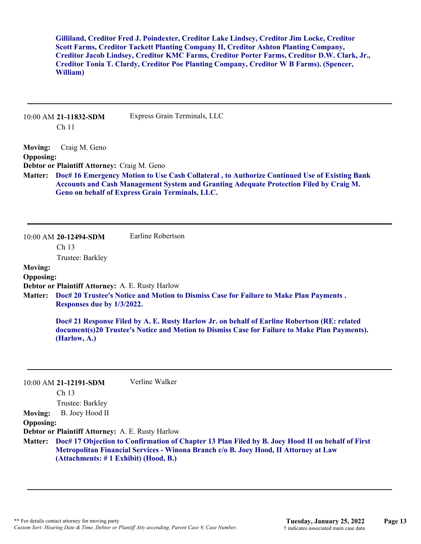**Gilliland, Creditor Fred J. Poindexter, Creditor Lake Lindsey, Creditor Jim Locke, Creditor Scott Farms, Creditor Tackett Planting Company II, Creditor Ashton Planting Company, Creditor Jacob Lindsey, Creditor KMC Farms, Creditor Porter Farms, Creditor D.W. Clark, Jr., Creditor Tonia T. Clardy, Creditor Poe Planting Company, Creditor W B Farms). (Spencer, William)**

|                                                      | 10:00 AM 21-11832-SDM<br>Ch <sub>11</sub>                                                | Express Grain Terminals, LLC                                                                                                                                                                                                              |
|------------------------------------------------------|------------------------------------------------------------------------------------------|-------------------------------------------------------------------------------------------------------------------------------------------------------------------------------------------------------------------------------------------|
| <b>Moving:</b><br><b>Opposing:</b><br><b>Matter:</b> | Craig M. Geno<br>Debtor or Plaintiff Attorney: Craig M. Geno                             | Doc# 16 Emergency Motion to Use Cash Collateral, to Authorize Continued Use of Existing Bank<br>Accounts and Cash Management System and Granting Adequate Protection Filed by Craig M.<br>Geno on behalf of Express Grain Terminals, LLC. |
|                                                      | 10:00 AM 20-12494-SDM<br>Ch 13<br>Trustee: Barkley                                       | Earline Robertson                                                                                                                                                                                                                         |
| <b>Moving:</b><br><b>Opposing:</b><br><b>Matter:</b> | Debtor or Plaintiff Attorney: A. E. Rusty Harlow<br>Responses due by 1/3/2022.           | Doc# 20 Trustee's Notice and Motion to Dismiss Case for Failure to Make Plan Payments.                                                                                                                                                    |
|                                                      | (Harlow, A.)                                                                             | Doc# 21 Response Filed by A. E. Rusty Harlow Jr. on behalf of Earline Robertson (RE: related<br>document(s)20 Trustee's Notice and Motion to Dismiss Case for Failure to Make Plan Payments).                                             |
|                                                      | 10:00 AM 21-12191-SDM<br>Ch <sub>13</sub><br>Trustee: Barkley                            | Verline Walker                                                                                                                                                                                                                            |
| <b>Moving:</b><br><b>Opposing:</b>                   | B. Joey Hood II                                                                          |                                                                                                                                                                                                                                           |
| <b>Matter:</b>                                       | Debtor or Plaintiff Attorney: A. E. Rusty Harlow<br>(Attachments: #1 Exhibit) (Hood, B.) | Doc# 17 Objection to Confirmation of Chapter 13 Plan Filed by B. Joey Hood II on behalf of First<br>Metropolitan Financial Services - Winona Branch c/o B. Joey Hood, II Attorney at Law                                                  |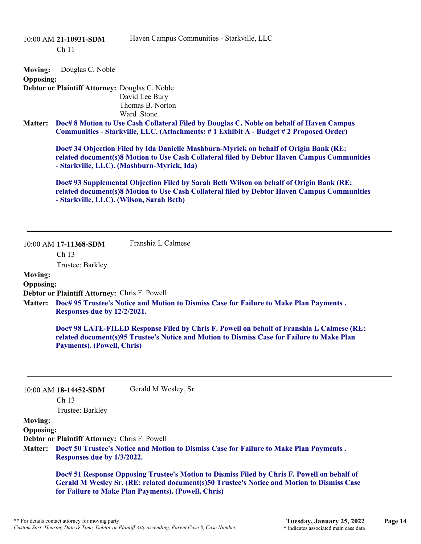|                                                      | 10:00 AM 21-10931-SDM<br>Ch <sub>11</sub>                                    | Haven Campus Communities - Starkville, LLC                                                                                                                                                                                         |
|------------------------------------------------------|------------------------------------------------------------------------------|------------------------------------------------------------------------------------------------------------------------------------------------------------------------------------------------------------------------------------|
| <b>Moving:</b><br><b>Opposing:</b>                   | Douglas C. Noble<br>Debtor or Plaintiff Attorney: Douglas C. Noble           | David Lee Bury<br>Thomas B. Norton<br>Ward Stone                                                                                                                                                                                   |
| <b>Matter:</b>                                       |                                                                              | Doc# 8 Motion to Use Cash Collateral Filed by Douglas C. Noble on behalf of Haven Campus<br>Communities - Starkville, LLC. (Attachments: #1 Exhibit A - Budget #2 Proposed Order)                                                  |
|                                                      |                                                                              | Doc# 34 Objection Filed by Ida Danielle Mashburn-Myrick on behalf of Origin Bank (RE:<br>related document(s)8 Motion to Use Cash Collateral filed by Debtor Haven Campus Communities<br>- Starkville, LLC). (Mashburn-Myrick, Ida) |
|                                                      |                                                                              | Doc# 93 Supplemental Objection Filed by Sarah Beth Wilson on behalf of Origin Bank (RE:<br>related document(s)8 Motion to Use Cash Collateral filed by Debtor Haven Campus Communities<br>- Starkville, LLC). (Wilson, Sarah Beth) |
|                                                      | 10:00 AM 17-11368-SDM<br>Ch 13<br>Trustee: Barkley                           | Franshia L Calmese                                                                                                                                                                                                                 |
| <b>Moving:</b><br><b>Opposing:</b>                   |                                                                              |                                                                                                                                                                                                                                    |
| <b>Matter:</b>                                       | Debtor or Plaintiff Attorney: Chris F. Powell<br>Responses due by 12/2/2021. | Doc# 95 Trustee's Notice and Motion to Dismiss Case for Failure to Make Plan Payments.                                                                                                                                             |
|                                                      | <b>Payments). (Powell, Chris)</b>                                            | Doc# 98 LATE-FILED Response Filed by Chris F. Powell on behalf of Franshia L Calmese (RE:<br>related document(s)95 Trustee's Notice and Motion to Dismiss Case for Failure to Make Plan                                            |
|                                                      | 10:00 AM 18-14452-SDM<br>Ch 13<br>Trustee: Barkley                           | Gerald M Wesley, Sr.                                                                                                                                                                                                               |
| <b>Moving:</b><br><b>Opposing:</b><br><b>Matter:</b> | Debtor or Plaintiff Attorney: Chris F. Powell                                | Doc# 50 Trustee's Notice and Motion to Dismiss Case for Failure to Make Plan Payments.                                                                                                                                             |

**Responses due by 1/3/2022.**

**Doc# 51 Response Opposing Trustee's Motion to Dismiss Filed by Chris F. Powell on behalf of Gerald M Wesley Sr. (RE: related document(s)50 Trustee's Notice and Motion to Dismiss Case for Failure to Make Plan Payments). (Powell, Chris)**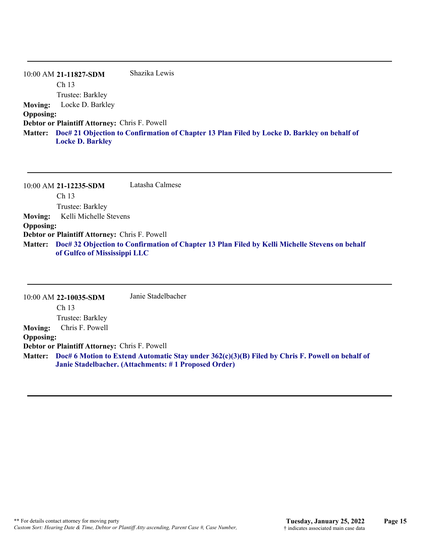|                  | 10:00 AM 21-11827-SDM                                | Shazika Lewis                                                                                       |
|------------------|------------------------------------------------------|-----------------------------------------------------------------------------------------------------|
|                  | Ch <sub>13</sub>                                     |                                                                                                     |
|                  | Trustee: Barkley                                     |                                                                                                     |
| <b>Moving:</b>   | Locke D. Barkley                                     |                                                                                                     |
| <b>Opposing:</b> |                                                      |                                                                                                     |
|                  | <b>Debtor or Plaintiff Attorney: Chris F. Powell</b> |                                                                                                     |
|                  | <b>Locke D. Barkley</b>                              | Matter: Doc# 21 Objection to Confirmation of Chapter 13 Plan Filed by Locke D. Barkley on behalf of |

10:00 AM **21-12235-SDM**  Ch 13 Trustee: Barkley Latasha Calmese **Moving:** Kelli Michelle Stevens **Opposing: Debtor or Plaintiff Attorney:** Chris F. Powell **Doc# 32 Objection to Confirmation of Chapter 13 Plan Filed by Kelli Michelle Stevens on behalf Matter: of Gulfco of Mississippi LLC**

10:00 AM **22-10035-SDM**  Ch 13 Trustee: Barkley Janie Stadelbacher **Moving:** Chris F. Powell **Opposing: Debtor or Plaintiff Attorney:** Chris F. Powell **Doc# 6 Motion to Extend Automatic Stay under 362(c)(3)(B) Filed by Chris F. Powell on behalf of Matter: Janie Stadelbacher. (Attachments: # 1 Proposed Order)**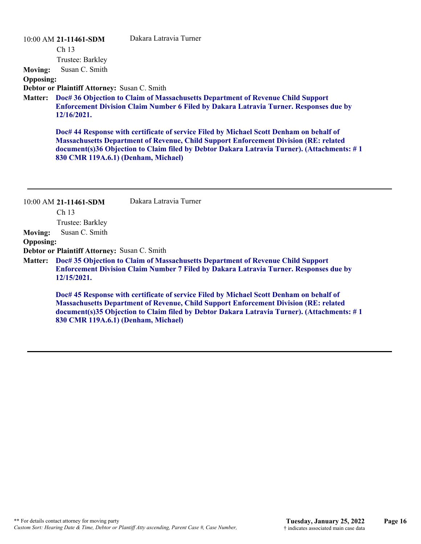| 10:00 AM 21-11461-SDM |
|-----------------------|
|-----------------------|

Dakara Latravia Turner

Ch 13 Trustee: Barkley

**Moving:** Susan C. Smith

#### **Opposing:**

**Debtor or Plaintiff Attorney:** Susan C. Smith

**Doc# 36 Objection to Claim of Massachusetts Department of Revenue Child Support Matter: Enforcement Division Claim Number 6 Filed by Dakara Latravia Turner. Responses due by 12/16/2021.**

**Doc# 44 Response with certificate of service Filed by Michael Scott Denham on behalf of Massachusetts Department of Revenue, Child Support Enforcement Division (RE: related document(s)36 Objection to Claim filed by Debtor Dakara Latravia Turner). (Attachments: # 1 830 CMR 119A.6.1) (Denham, Michael)**

|                  | 10:00 AM 21-11461-SDM                        | Dakara Latravia Turner                                                                                                                                                                                                                                                               |
|------------------|----------------------------------------------|--------------------------------------------------------------------------------------------------------------------------------------------------------------------------------------------------------------------------------------------------------------------------------------|
|                  | Ch <sub>13</sub>                             |                                                                                                                                                                                                                                                                                      |
|                  | Trustee: Barkley                             |                                                                                                                                                                                                                                                                                      |
| <b>Moving:</b>   | Susan C. Smith                               |                                                                                                                                                                                                                                                                                      |
| <b>Opposing:</b> |                                              |                                                                                                                                                                                                                                                                                      |
|                  | Debtor or Plaintiff Attorney: Susan C. Smith |                                                                                                                                                                                                                                                                                      |
| <b>Matter:</b>   | 12/15/2021.                                  | Doc# 35 Objection to Claim of Massachusetts Department of Revenue Child Support<br><b>Enforcement Division Claim Number 7 Filed by Dakara Latravia Turner. Responses due by</b>                                                                                                      |
|                  | 830 CMR 119A.6.1) (Denham, Michael)          | Doc# 45 Response with certificate of service Filed by Michael Scott Denham on behalf of<br><b>Massachusetts Department of Revenue, Child Support Enforcement Division (RE: related</b><br>document(s)35 Objection to Claim filed by Debtor Dakara Latravia Turner). (Attachments: #1 |